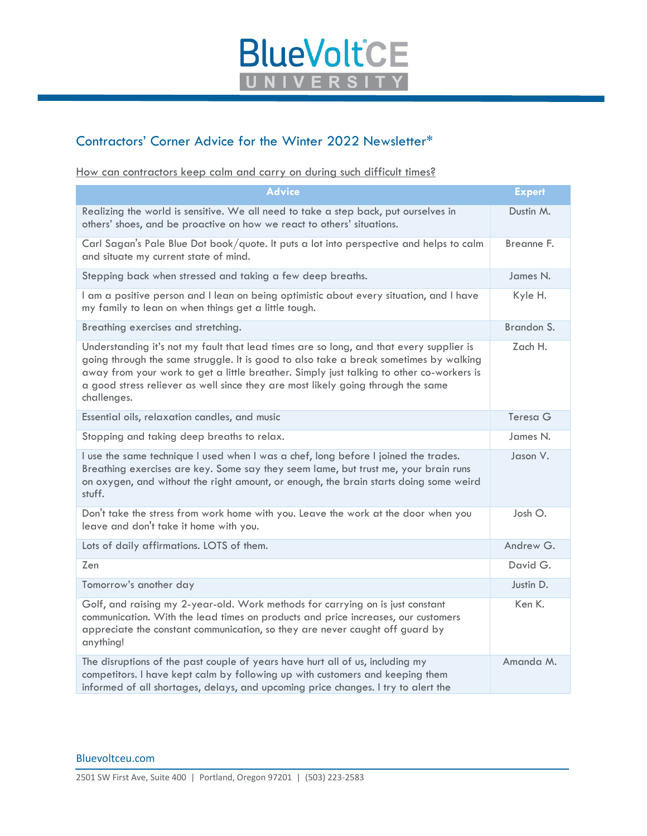

## Contractors' Corner Advice for the Winter 2022 Newsletter\*

How can contractors keep calm and carry on during such difficult times?

| <b>Advice</b>                                                                                                                                                                                                                                                                                                                                                                   | <b>Expert</b> |
|---------------------------------------------------------------------------------------------------------------------------------------------------------------------------------------------------------------------------------------------------------------------------------------------------------------------------------------------------------------------------------|---------------|
| Realizing the world is sensitive. We all need to take a step back, put ourselves in<br>others' shoes, and be proactive on how we react to others' situations.                                                                                                                                                                                                                   | Dustin M.     |
| Carl Sagan's Pale Blue Dot book/quote. It puts a lot into perspective and helps to calm<br>and situate my current state of mind.                                                                                                                                                                                                                                                | Breanne F.    |
| Stepping back when stressed and taking a few deep breaths.                                                                                                                                                                                                                                                                                                                      | James N.      |
| I am a positive person and I lean on being optimistic about every situation, and I have<br>my family to lean on when things get a little tough.                                                                                                                                                                                                                                 | Kyle H.       |
| Breathing exercises and stretching.                                                                                                                                                                                                                                                                                                                                             | Brandon S.    |
| Understanding it's not my fault that lead times are so long, and that every supplier is<br>going through the same struggle. It is good to also take a break sometimes by walking<br>away from your work to get a little breather. Simply just talking to other co-workers is<br>a good stress reliever as well since they are most likely going through the same<br>challenges. | Zach H.       |
| Essential oils, relaxation candles, and music                                                                                                                                                                                                                                                                                                                                   | Teresa G      |
| Stopping and taking deep breaths to relax.                                                                                                                                                                                                                                                                                                                                      | James N.      |
| I use the same technique I used when I was a chef, long before I joined the trades.<br>Breathing exercises are key. Some say they seem lame, but trust me, your brain runs<br>on oxygen, and without the right amount, or enough, the brain starts doing some weird<br>stuff.                                                                                                   | Jason V.      |
| Don't take the stress from work home with you. Leave the work at the door when you<br>leave and don't take it home with you.                                                                                                                                                                                                                                                    | Josh O.       |
| Lots of daily affirmations. LOTS of them.                                                                                                                                                                                                                                                                                                                                       | Andrew G.     |
| Zen                                                                                                                                                                                                                                                                                                                                                                             | David G.      |
| Tomorrow's another day                                                                                                                                                                                                                                                                                                                                                          | Justin D.     |
| Golf, and raising my 2-year-old. Work methods for carrying on is just constant<br>communication. With the lead times on products and price increases, our customers<br>appreciate the constant communication, so they are never caught off guard by<br>anything!                                                                                                                | Ken K.        |
| The disruptions of the past couple of years have hurt all of us, including my<br>competitors. I have kept calm by following up with customers and keeping them<br>informed of all shortages, delays, and upcoming price changes. I try to alert the                                                                                                                             | Amanda M.     |